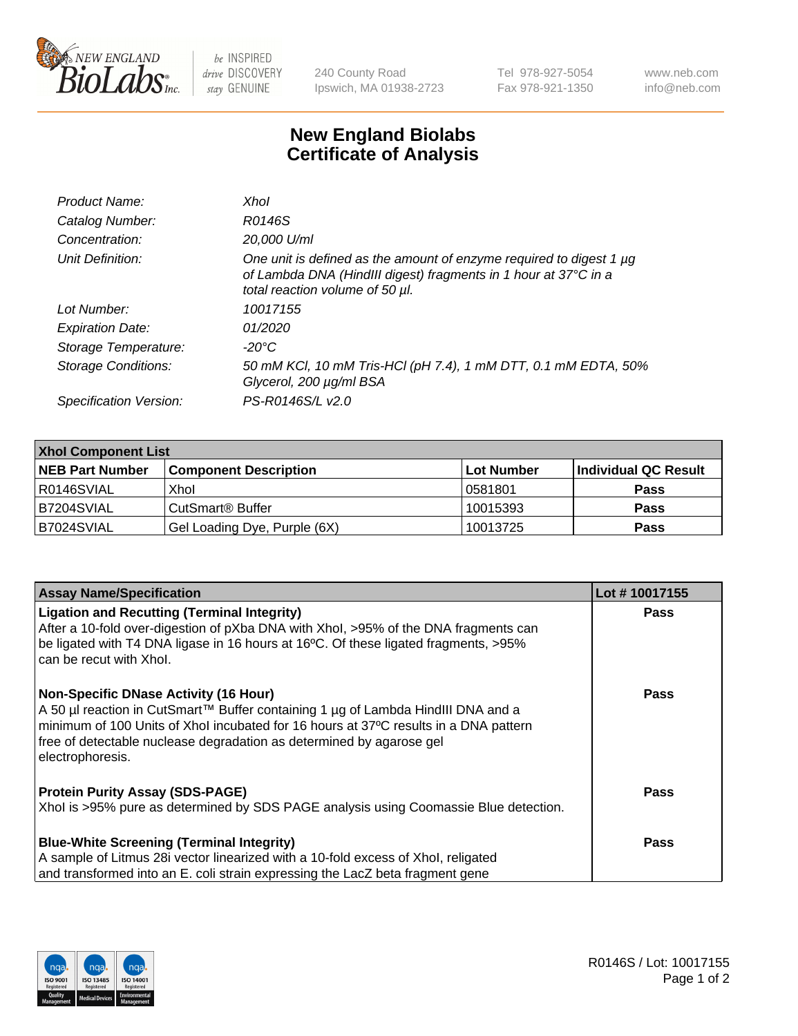

 $be$  INSPIRED drive DISCOVERY stay GENUINE

240 County Road Ipswich, MA 01938-2723 Tel 978-927-5054 Fax 978-921-1350 www.neb.com info@neb.com

## **New England Biolabs Certificate of Analysis**

| Product Name:              | Xhol                                                                                                                                                                      |
|----------------------------|---------------------------------------------------------------------------------------------------------------------------------------------------------------------------|
| Catalog Number:            | R0146S                                                                                                                                                                    |
| Concentration:             | 20,000 U/ml                                                                                                                                                               |
| Unit Definition:           | One unit is defined as the amount of enzyme required to digest 1 µg<br>of Lambda DNA (HindIII digest) fragments in 1 hour at 37°C in a<br>total reaction volume of 50 µl. |
| Lot Number:                | 10017155                                                                                                                                                                  |
| <b>Expiration Date:</b>    | 01/2020                                                                                                                                                                   |
| Storage Temperature:       | -20°C                                                                                                                                                                     |
| <b>Storage Conditions:</b> | 50 mM KCl, 10 mM Tris-HCl (pH 7.4), 1 mM DTT, 0.1 mM EDTA, 50%<br>Glycerol, 200 µg/ml BSA                                                                                 |
| Specification Version:     | PS-R0146S/L v2.0                                                                                                                                                          |

| <b>Xhol Component List</b> |                              |             |                      |  |  |
|----------------------------|------------------------------|-------------|----------------------|--|--|
| <b>NEB Part Number</b>     | <b>Component Description</b> | ∣Lot Number | Individual QC Result |  |  |
| R0146SVIAL                 | Xhol                         | 10581801    | <b>Pass</b>          |  |  |
| IB7204SVIAL                | CutSmart® Buffer             | 10015393    | <b>Pass</b>          |  |  |
| B7024SVIAL                 | Gel Loading Dye, Purple (6X) | 10013725    | <b>Pass</b>          |  |  |

| <b>Assay Name/Specification</b>                                                                                                                                                                                                                                                                                      | Lot #10017155 |
|----------------------------------------------------------------------------------------------------------------------------------------------------------------------------------------------------------------------------------------------------------------------------------------------------------------------|---------------|
| <b>Ligation and Recutting (Terminal Integrity)</b><br>After a 10-fold over-digestion of pXba DNA with Xhol, >95% of the DNA fragments can                                                                                                                                                                            | <b>Pass</b>   |
| be ligated with T4 DNA ligase in 16 hours at 16°C. Of these ligated fragments, >95%<br>can be recut with Xhol.                                                                                                                                                                                                       |               |
| <b>Non-Specific DNase Activity (16 Hour)</b><br>A 50 µl reaction in CutSmart™ Buffer containing 1 µg of Lambda HindIII DNA and a<br>minimum of 100 Units of Xhol incubated for 16 hours at 37°C results in a DNA pattern<br>free of detectable nuclease degradation as determined by agarose gel<br>electrophoresis. | <b>Pass</b>   |
| <b>Protein Purity Assay (SDS-PAGE)</b>                                                                                                                                                                                                                                                                               | <b>Pass</b>   |
| Xhol is >95% pure as determined by SDS PAGE analysis using Coomassie Blue detection.                                                                                                                                                                                                                                 |               |
| <b>Blue-White Screening (Terminal Integrity)</b>                                                                                                                                                                                                                                                                     | Pass          |
| A sample of Litmus 28i vector linearized with a 10-fold excess of Xhol, religated                                                                                                                                                                                                                                    |               |
| and transformed into an E. coli strain expressing the LacZ beta fragment gene                                                                                                                                                                                                                                        |               |